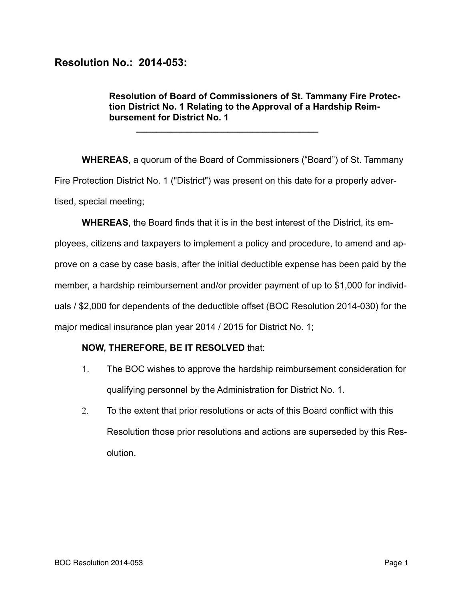## **Resolution No.: 2014-053:**

**Resolution of Board of Commissioners of St. Tammany Fire Protection District No. 1 Relating to the Approval of a Hardship Reimbursement for District No. 1** 

**WHEREAS**, a quorum of the Board of Commissioners ("Board") of St. Tammany Fire Protection District No. 1 ("District") was present on this date for a properly advertised, special meeting;

**\_\_\_\_\_\_\_\_\_\_\_\_\_\_\_\_\_\_\_\_\_\_\_\_\_\_\_\_\_\_\_\_\_\_\_\_** 

**WHEREAS**, the Board finds that it is in the best interest of the District, its employees, citizens and taxpayers to implement a policy and procedure, to amend and approve on a case by case basis, after the initial deductible expense has been paid by the member, a hardship reimbursement and/or provider payment of up to \$1,000 for individuals / \$2,000 for dependents of the deductible offset (BOC Resolution 2014-030) for the major medical insurance plan year 2014 / 2015 for District No. 1;

## **NOW, THEREFORE, BE IT RESOLVED** that:

- 1. The BOC wishes to approve the hardship reimbursement consideration for qualifying personnel by the Administration for District No. 1.
- 2. To the extent that prior resolutions or acts of this Board conflict with this Resolution those prior resolutions and actions are superseded by this Resolution.